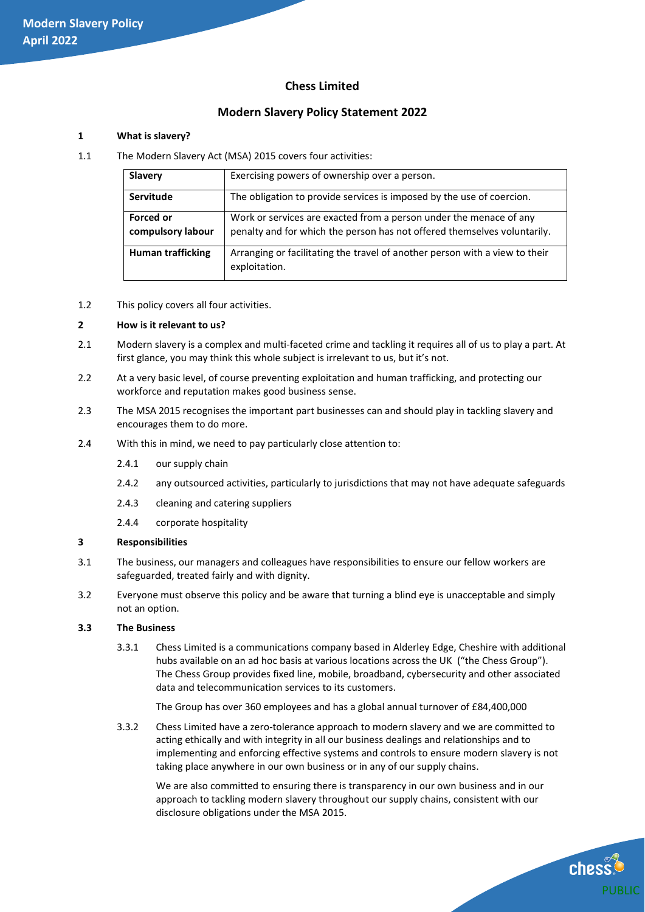# **Chess Limited**

# **Modern Slavery Policy Statement 2022**

# **1 What is slavery?**

1.1 The Modern Slavery Act (MSA) 2015 covers four activities:

| <b>Slavery</b>           | Exercising powers of ownership over a person.                                                |  |
|--------------------------|----------------------------------------------------------------------------------------------|--|
| Servitude                | The obligation to provide services is imposed by the use of coercion.                        |  |
| <b>Forced or</b>         | Work or services are exacted from a person under the menace of any                           |  |
| compulsory labour        | penalty and for which the person has not offered themselves voluntarily.                     |  |
| <b>Human trafficking</b> | Arranging or facilitating the travel of another person with a view to their<br>exploitation. |  |
|                          |                                                                                              |  |

1.2 This policy covers all four activities.

#### **2 How is it relevant to us?**

- 2.1 Modern slavery is a complex and multi-faceted crime and tackling it requires all of us to play a part. At first glance, you may think this whole subject is irrelevant to us, but it's not.
- 2.2 At a very basic level, of course preventing exploitation and human trafficking, and protecting our workforce and reputation makes good business sense.
- 2.3 The MSA 2015 recognises the important part businesses can and should play in tackling slavery and encourages them to do more.
- 2.4 With this in mind, we need to pay particularly close attention to:
	- 2.4.1 our supply chain
	- 2.4.2 any outsourced activities, particularly to jurisdictions that may not have adequate safeguards
	- 2.4.3 cleaning and catering suppliers
	- 2.4.4 corporate hospitality

# **3 Responsibilities**

- 3.1 The business, our managers and colleagues have responsibilities to ensure our fellow workers are safeguarded, treated fairly and with dignity.
- 3.2 Everyone must observe this policy and be aware that turning a blind eye is unacceptable and simply not an option.

# **3.3 The Business**

3.3.1 Chess Limited is a communications company based in Alderley Edge, Cheshire with additional hubs available on an ad hoc basis at various locations across the UK ("the Chess Group"). The Chess Group provides fixed line, mobile, broadband, cybersecurity and other associated data and telecommunication services to its customers.

The Group has over 360 employees and has a global annual turnover of £84,400,000

3.3.2 Chess Limited have a zero-tolerance approach to modern slavery and we are committed to acting ethically and with integrity in all our business dealings and relationships and to implementing and enforcing effective systems and controls to ensure modern slavery is not taking place anywhere in our own business or in any of our supply chains.

We are also committed to ensuring there is transparency in our own business and in our approach to tackling modern slavery throughout our supply chains, consistent with our disclosure obligations under the MSA 2015.

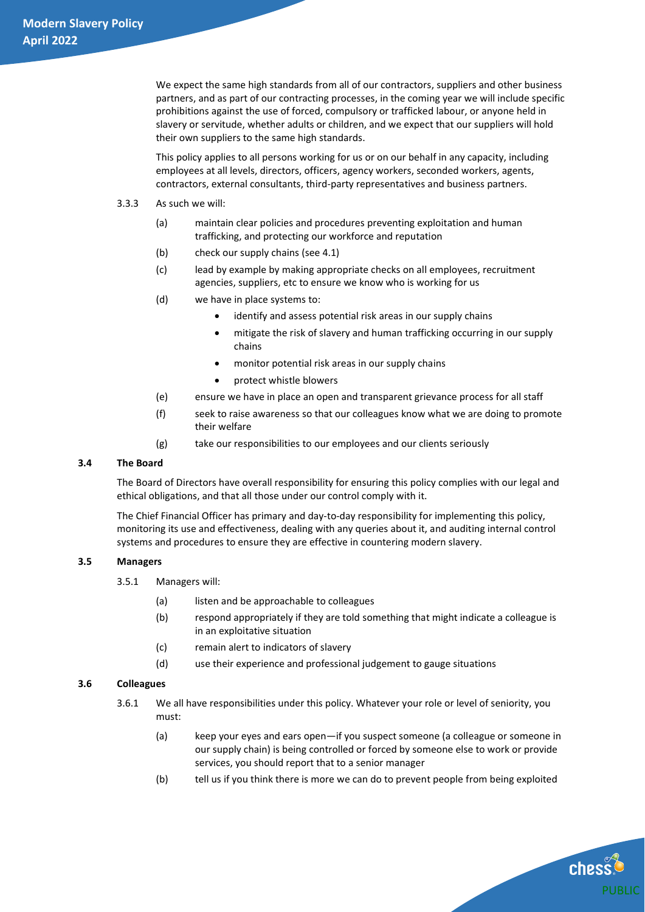We expect the same high standards from all of our contractors, suppliers and other business partners, and as part of our contracting processes, in the coming year we will include specific prohibitions against the use of forced, compulsory or trafficked labour, or anyone held in slavery or servitude, whether adults or children, and we expect that our suppliers will hold their own suppliers to the same high standards.

This policy applies to all persons working for us or on our behalf in any capacity, including employees at all levels, directors, officers, agency workers, seconded workers, agents, contractors, external consultants, third-party representatives and business partners.

- 3.3.3 As such we will:
	- (a) maintain clear policies and procedures preventing exploitation and human trafficking, and protecting our workforce and reputation
	- (b) check our supply chains (see 4.1)
	- (c) lead by example by making appropriate checks on all employees, recruitment agencies, suppliers, etc to ensure we know who is working for us
	- (d) we have in place systems to:
		- identify and assess potential risk areas in our supply chains
		- mitigate the risk of slavery and human trafficking occurring in our supply chains
		- monitor potential risk areas in our supply chains
		- protect whistle blowers
	- (e) ensure we have in place an open and transparent grievance process for all staff
	- (f) seek to raise awareness so that our colleagues know what we are doing to promote their welfare
	- (g) take our responsibilities to our employees and our clients seriously

# **3.4 The Board**

The Board of Directors have overall responsibility for ensuring this policy complies with our legal and ethical obligations, and that all those under our control comply with it.

The Chief Financial Officer has primary and day-to-day responsibility for implementing this policy, monitoring its use and effectiveness, dealing with any queries about it, and auditing internal control systems and procedures to ensure they are effective in countering modern slavery.

# **3.5 Managers**

- 3.5.1 Managers will:
	- (a) listen and be approachable to colleagues
	- (b) respond appropriately if they are told something that might indicate a colleague is in an exploitative situation
	- (c) remain alert to indicators of slavery
	- (d) use their experience and professional judgement to gauge situations

#### **3.6 Colleagues**

- 3.6.1 We all have responsibilities under this policy. Whatever your role or level of seniority, you must:
	- (a) keep your eyes and ears open—if you suspect someone (a colleague or someone in our supply chain) is being controlled or forced by someone else to work or provide services, you should report that to a senior manager
	- (b) tell us if you think there is more we can do to prevent people from being exploited

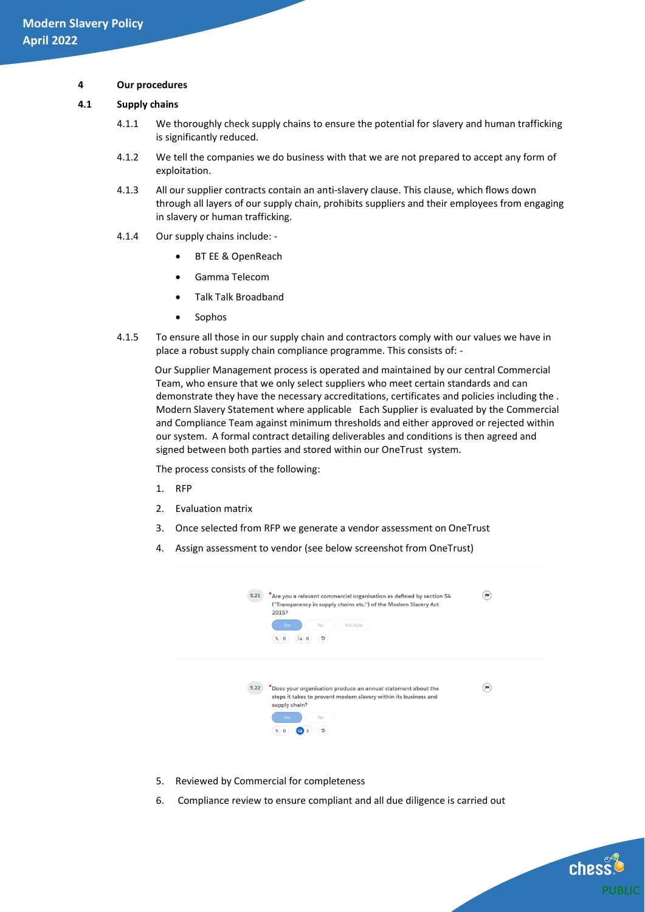#### **4 Our procedures**

#### **4.1 Supply chains**

- 4.1.1 We thoroughly check supply chains to ensure the potential for slavery and human trafficking is significantly reduced.
- 4.1.2 We tell the companies we do business with that we are not prepared to accept any form of exploitation.
- 4.1.3 All our supplier contracts contain an anti-slavery clause. This clause, which flows down through all layers of our supply chain, prohibits suppliers and their employees from engaging in slavery or human trafficking.
- 4.1.4 Our supply chains include:
	- BT EE & OpenReach
	- Gamma Telecom
	- Talk Talk Broadband
	- Sophos
- 4.1.5 To ensure all those in our supply chain and contractors comply with our values we have in place a robust supply chain compliance programme. This consists of: -

Our Supplier Management process is operated and maintained by our central Commercial Team, who ensure that we only select suppliers who meet certain standards and can demonstrate they have the necessary accreditations, certificates and policies including the . Modern Slavery Statement where applicable Each Supplier is evaluated by the Commercial and Compliance Team against minimum thresholds and either approved or rejected within our system. A formal contract detailing deliverables and conditions is then agreed and signed between both parties and stored within our OneTrust system.

The process consists of the following:

- 1. RFP
- 2. Evaluation matrix
- 3. Once selected from RFP we generate a vendor assessment on OneTrust
- 4. Assign assessment to vendor (see below screenshot from OneTrust)

| 5.21 | *Are you a relevant commercial organisation as defined by section 54<br>("Transparency in supply chains etc.") of the Modern Slavery Act<br>2015?<br>Not Sure<br>No<br>Yes<br>$\bullet$ 0<br>D<br>19. | w         |
|------|-------------------------------------------------------------------------------------------------------------------------------------------------------------------------------------------------------|-----------|
| 5.22 | *Does your organisation produce an annual statement about the<br>steps it takes to prevent modern slavery within its business and<br>supply chain?<br>No<br>Yos<br><br>o                              | <b>DO</b> |

- 5. Reviewed by Commercial for completeness
- 6. Compliance review to ensure compliant and all due diligence is carried out

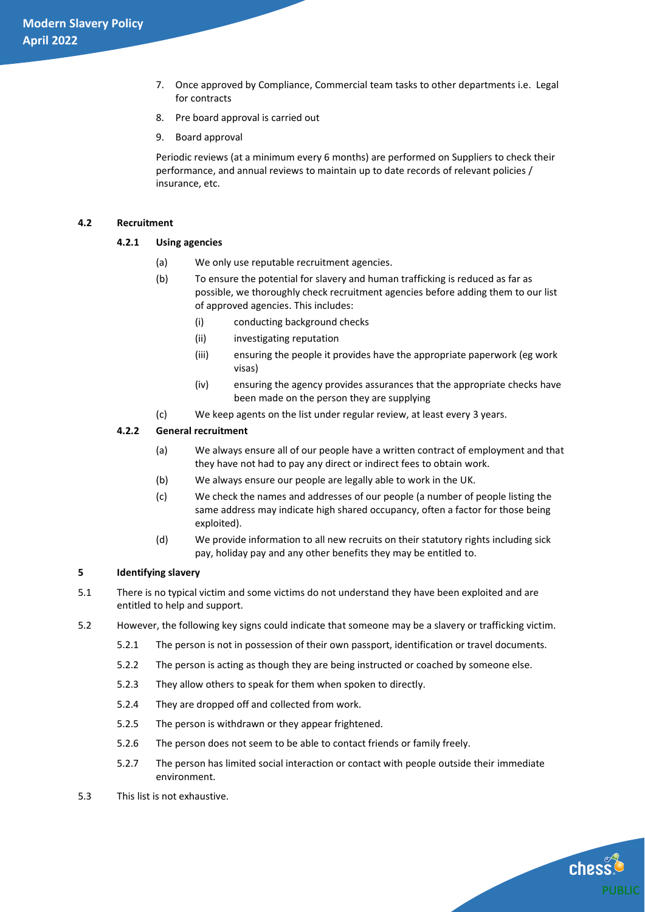- 7. Once approved by Compliance, Commercial team tasks to other departments i.e. Legal for contracts
- 8. Pre board approval is carried out
- 9. Board approval

Periodic reviews (at a minimum every 6 months) are performed on Suppliers to check their performance, and annual reviews to maintain up to date records of relevant policies / insurance, etc.

#### **4.2 Recruitment**

# **4.2.1 Using agencies**

- (a) We only use reputable recruitment agencies.
- (b) To ensure the potential for slavery and human trafficking is reduced as far as possible, we thoroughly check recruitment agencies before adding them to our list of approved agencies. This includes:
	- (i) conducting background checks
	- (ii) investigating reputation
	- (iii) ensuring the people it provides have the appropriate paperwork (eg work visas)
	- (iv) ensuring the agency provides assurances that the appropriate checks have been made on the person they are supplying
- (c) We keep agents on the list under regular review, at least every 3 years.

#### **4.2.2 General recruitment**

- (a) We always ensure all of our people have a written contract of employment and that they have not had to pay any direct or indirect fees to obtain work.
- (b) We always ensure our people are legally able to work in the UK.
- (c) We check the names and addresses of our people (a number of people listing the same address may indicate high shared occupancy, often a factor for those being exploited).
- (d) We provide information to all new recruits on their statutory rights including sick pay, holiday pay and any other benefits they may be entitled to.

#### **5 Identifying slavery**

- 5.1 There is no typical victim and some victims do not understand they have been exploited and are entitled to help and support.
- 5.2 However, the following key signs could indicate that someone may be a slavery or trafficking victim.
	- 5.2.1 The person is not in possession of their own passport, identification or travel documents.
	- 5.2.2 The person is acting as though they are being instructed or coached by someone else.
	- 5.2.3 They allow others to speak for them when spoken to directly.
	- 5.2.4 They are dropped off and collected from work.
	- 5.2.5 The person is withdrawn or they appear frightened.
	- 5.2.6 The person does not seem to be able to contact friends or family freely.
	- 5.2.7 The person has limited social interaction or contact with people outside their immediate environment.
- 5.3 This list is not exhaustive.